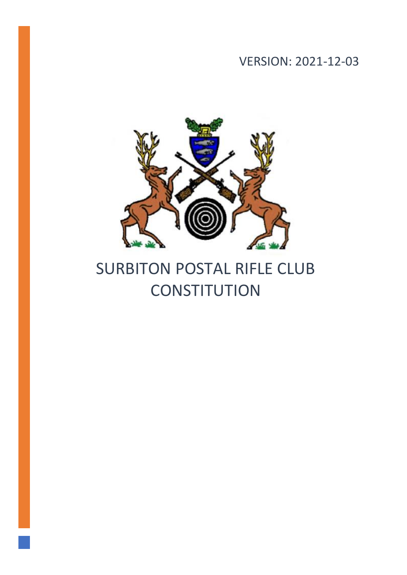VERSION: 2021-12-03



# SURBITON POSTAL RIFLE CLUB **CONSTITUTION**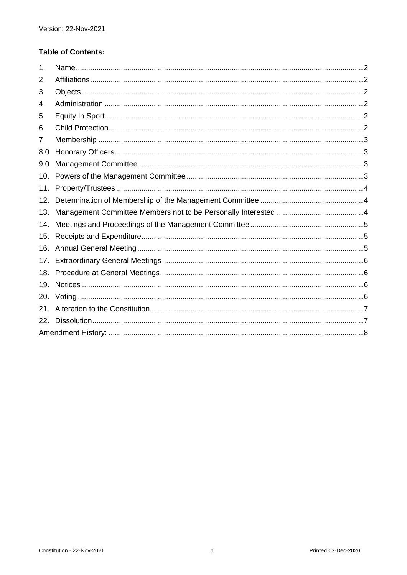# **Table of Contents:**

| 1.  |  |  |  |  |  |
|-----|--|--|--|--|--|
| 2.  |  |  |  |  |  |
| 3.  |  |  |  |  |  |
| 4.  |  |  |  |  |  |
| 5.  |  |  |  |  |  |
| 6.  |  |  |  |  |  |
| 7.  |  |  |  |  |  |
| 8.0 |  |  |  |  |  |
| 9.0 |  |  |  |  |  |
| 10. |  |  |  |  |  |
| 11. |  |  |  |  |  |
| 12. |  |  |  |  |  |
| 13. |  |  |  |  |  |
| 14. |  |  |  |  |  |
| 15. |  |  |  |  |  |
| 16. |  |  |  |  |  |
| 17. |  |  |  |  |  |
| 18. |  |  |  |  |  |
| 19. |  |  |  |  |  |
| 20. |  |  |  |  |  |
| 21. |  |  |  |  |  |
| 22. |  |  |  |  |  |
|     |  |  |  |  |  |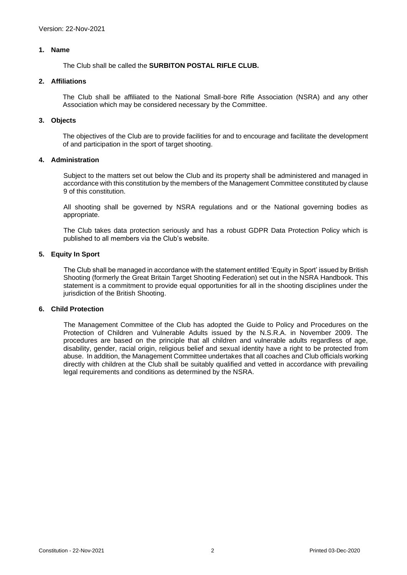# <span id="page-2-0"></span>**1. Name**

The Club shall be called the **SURBITON POSTAL RIFLE CLUB.**

### <span id="page-2-1"></span>**2. Affiliations**

The Club shall be affiliated to the National Small-bore Rifle Association (NSRA) and any other Association which may be considered necessary by the Committee.

#### <span id="page-2-2"></span>**3. Objects**

The objectives of the Club are to provide facilities for and to encourage and facilitate the development of and participation in the sport of target shooting.

# <span id="page-2-3"></span>**4. Administration**

Subject to the matters set out below the Club and its property shall be administered and managed in accordance with this constitution by the members of the Management Committee constituted by clause 9 of this constitution.

All shooting shall be governed by NSRA regulations and or the National governing bodies as appropriate.

The Club takes data protection seriously and has a robust GDPR Data Protection Policy which is published to all members via the Club's website.

# <span id="page-2-4"></span>**5. Equity In Sport**

The Club shall be managed in accordance with the statement entitled 'Equity in Sport' issued by British Shooting (formerly the Great Britain Target Shooting Federation) set out in the NSRA Handbook. This statement is a commitment to provide equal opportunities for all in the shooting disciplines under the jurisdiction of the British Shooting.

#### <span id="page-2-5"></span>**6. Child Protection**

The Management Committee of the Club has adopted the Guide to Policy and Procedures on the Protection of Children and Vulnerable Adults issued by the N.S.R.A. in November 2009. The procedures are based on the principle that all children and vulnerable adults regardless of age, disability, gender, racial origin, religious belief and sexual identity have a right to be protected from abuse. In addition, the Management Committee undertakes that all coaches and Club officials working directly with children at the Club shall be suitably qualified and vetted in accordance with prevailing legal requirements and conditions as determined by the NSRA.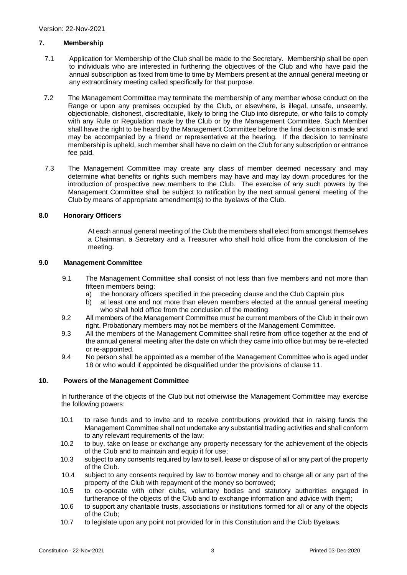# <span id="page-3-0"></span>**7. Membership**

- 7.1 Application for Membership of the Club shall be made to the Secretary. Membership shall be open to individuals who are interested in furthering the objectives of the Club and who have paid the annual subscription as fixed from time to time by Members present at the annual general meeting or any extraordinary meeting called specifically for that purpose.
- 7.2 The Management Committee may terminate the membership of any member whose conduct on the Range or upon any premises occupied by the Club, or elsewhere, is illegal, unsafe, unseemly, objectionable, dishonest, discreditable, likely to bring the Club into disrepute, or who fails to comply with any Rule or Regulation made by the Club or by the Management Committee. Such Member shall have the right to be heard by the Management Committee before the final decision is made and may be accompanied by a friend or representative at the hearing. If the decision to terminate membership is upheld, such member shall have no claim on the Club for any subscription or entrance fee paid.
- 7.3 The Management Committee may create any class of member deemed necessary and may determine what benefits or rights such members may have and may lay down procedures for the introduction of prospective new members to the Club. The exercise of any such powers by the Management Committee shall be subject to ratification by the next annual general meeting of the Club by means of appropriate amendment(s) to the byelaws of the Club.

# <span id="page-3-1"></span>**8.0 Honorary Officers**

At each annual general meeting of the Club the members shall elect from amongst themselves a Chairman, a Secretary and a Treasurer who shall hold office from the conclusion of the meeting.

#### <span id="page-3-2"></span>**9.0 Management Committee**

- 9.1 The Management Committee shall consist of not less than five members and not more than fifteen members being:
	- a) the honorary officers specified in the preceding clause and the Club Captain plus
	- b) at least one and not more than eleven members elected at the annual general meeting who shall hold office from the conclusion of the meeting
- 9.2 All members of the Management Committee must be current members of the Club in their own right. Probationary members may not be members of the Management Committee.
- 9.3 All the members of the Management Committee shall retire from office together at the end of the annual general meeting after the date on which they came into office but may be re-elected or re-appointed.
- 9.4 No person shall be appointed as a member of the Management Committee who is aged under 18 or who would if appointed be disqualified under the provisions of clause 11.

# <span id="page-3-3"></span>**10. Powers of the Management Committee**

In furtherance of the objects of the Club but not otherwise the Management Committee may exercise the following powers:

- 10.1 to raise funds and to invite and to receive contributions provided that in raising funds the Management Committee shall not undertake any substantial trading activities and shall conform to any relevant requirements of the law;
- 10.2 to buy, take on lease or exchange any property necessary for the achievement of the objects of the Club and to maintain and equip it for use;
- 10.3 subject to any consents required by law to sell, lease or dispose of all or any part of the property of the Club.
- 10.4 subject to any consents required by law to borrow money and to charge all or any part of the property of the Club with repayment of the money so borrowed;
- 10.5 to co-operate with other clubs, voluntary bodies and statutory authorities engaged in furtherance of the objects of the Club and to exchange information and advice with them;
- 10.6 to support any charitable trusts, associations or institutions formed for all or any of the objects of the Club;
- 10.7 to legislate upon any point not provided for in this Constitution and the Club Byelaws.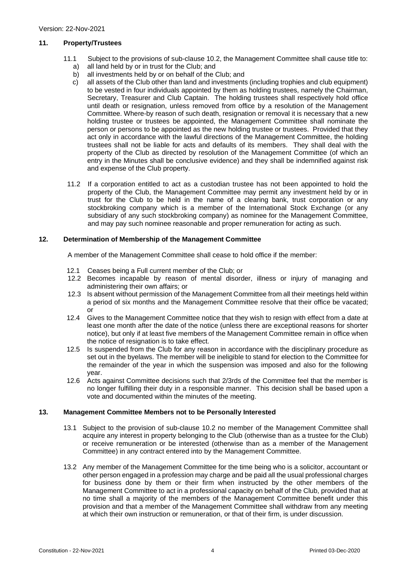# <span id="page-4-0"></span>**11. Property/Trustees**

- 11.1 Subject to the provisions of sub-clause 10.2, the Management Committee shall cause title to:
	- a) all land held by or in trust for the Club; and
	- b) all investments held by or on behalf of the Club; and
	- c) all assets of the Club other than land and investments (including trophies and club equipment) to be vested in four individuals appointed by them as holding trustees, namely the Chairman, Secretary, Treasurer and Club Captain. The holding trustees shall respectively hold office until death or resignation, unless removed from office by a resolution of the Management Committee. Where-by reason of such death, resignation or removal it is necessary that a new holding trustee or trustees be appointed, the Management Committee shall nominate the person or persons to be appointed as the new holding trustee or trustees. Provided that they act only in accordance with the lawful directions of the Management Committee, the holding trustees shall not be liable for acts and defaults of its members. They shall deal with the property of the Club as directed by resolution of the Management Committee (of which an entry in the Minutes shall be conclusive evidence) and they shall be indemnified against risk and expense of the Club property.
- 11.2 If a corporation entitled to act as a custodian trustee has not been appointed to hold the property of the Club, the Management Committee may permit any investment held by or in trust for the Club to be held in the name of a clearing bank, trust corporation or any stockbroking company which is a member of the International Stock Exchange (or any subsidiary of any such stockbroking company) as nominee for the Management Committee, and may pay such nominee reasonable and proper remuneration for acting as such.

# <span id="page-4-1"></span>**12. Determination of Membership of the Management Committee**

A member of the Management Committee shall cease to hold office if the member:

- 12.1 Ceases being a Full current member of the Club; or
- 12.2 Becomes incapable by reason of mental disorder, illness or injury of managing and administering their own affairs; or
- 12.3 Is absent without permission of the Management Committee from all their meetings held within a period of six months and the Management Committee resolve that their office be vacated; or
- 12.4 Gives to the Management Committee notice that they wish to resign with effect from a date at least one month after the date of the notice (unless there are exceptional reasons for shorter notice), but only if at least five members of the Management Committee remain in office when the notice of resignation is to take effect.
- 12.5 Is suspended from the Club for any reason in accordance with the disciplinary procedure as set out in the byelaws. The member will be ineligible to stand for election to the Committee for the remainder of the year in which the suspension was imposed and also for the following year.
- 12.6 Acts against Committee decisions such that 2/3rds of the Committee feel that the member is no longer fulfilling their duty in a responsible manner. This decision shall be based upon a vote and documented within the minutes of the meeting.

# <span id="page-4-2"></span>**13. Management Committee Members not to be Personally Interested**

- 13.1 Subject to the provision of sub-clause 10.2 no member of the Management Committee shall acquire any interest in property belonging to the Club (otherwise than as a trustee for the Club) or receive remuneration or be interested (otherwise than as a member of the Management Committee) in any contract entered into by the Management Committee.
- 13.2 Any member of the Management Committee for the time being who is a solicitor, accountant or other person engaged in a profession may charge and be paid all the usual professional charges for business done by them or their firm when instructed by the other members of the Management Committee to act in a professional capacity on behalf of the Club, provided that at no time shall a majority of the members of the Management Committee benefit under this provision and that a member of the Management Committee shall withdraw from any meeting at which their own instruction or remuneration, or that of their firm, is under discussion.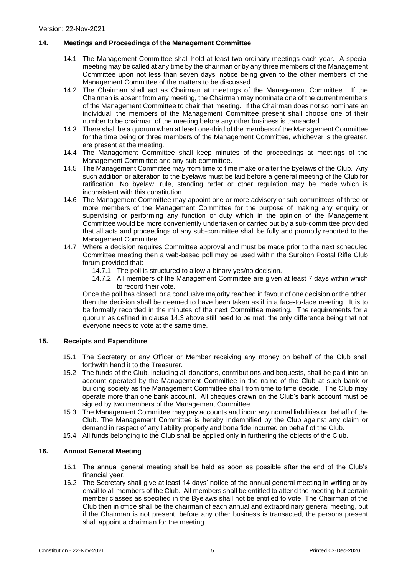# <span id="page-5-0"></span>**14. Meetings and Proceedings of the Management Committee**

- 14.1 The Management Committee shall hold at least two ordinary meetings each year. A special meeting may be called at any time by the chairman or by any three members of the Management Committee upon not less than seven days' notice being given to the other members of the Management Committee of the matters to be discussed.
- 14.2 The Chairman shall act as Chairman at meetings of the Management Committee. If the Chairman is absent from any meeting, the Chairman may nominate one of the current members of the Management Committee to chair that meeting. If the Chairman does not so nominate an individual, the members of the Management Committee present shall choose one of their number to be chairman of the meeting before any other business is transacted.
- 14.3 There shall be a quorum when at least one-third of the members of the Management Committee for the time being or three members of the Management Committee, whichever is the greater, are present at the meeting.
- 14.4 The Management Committee shall keep minutes of the proceedings at meetings of the Management Committee and any sub-committee.
- 14.5 The Management Committee may from time to time make or alter the byelaws of the Club. Any such addition or alteration to the byelaws must be laid before a general meeting of the Club for ratification. No byelaw, rule, standing order or other regulation may be made which is inconsistent with this constitution.
- 14.6 The Management Committee may appoint one or more advisory or sub-committees of three or more members of the Management Committee for the purpose of making any enquiry or supervising or performing any function or duty which in the opinion of the Management Committee would be more conveniently undertaken or carried out by a sub-committee provided that all acts and proceedings of any sub-committee shall be fully and promptly reported to the Management Committee.
- 14.7 Where a decision requires Committee approval and must be made prior to the next scheduled Committee meeting then a web-based poll may be used within the Surbiton Postal Rifle Club forum provided that:
	- 14.7.1 The poll is structured to allow a binary yes/no decision.
	- 14.7.2 All members of the Management Committee are given at least 7 days within which to record their vote.

Once the poll has closed, or a conclusive majority reached in favour of one decision or the other, then the decision shall be deemed to have been taken as if in a face-to-face meeting. It is to be formally recorded in the minutes of the next Committee meeting. The requirements for a quorum as defined in clause 14.3 above still need to be met, the only difference being that not everyone needs to vote at the same time.

# <span id="page-5-1"></span>**15. Receipts and Expenditure**

- 15.1 The Secretary or any Officer or Member receiving any money on behalf of the Club shall forthwith hand it to the Treasurer.
- 15.2 The funds of the Club, including all donations, contributions and bequests, shall be paid into an account operated by the Management Committee in the name of the Club at such bank or building society as the Management Committee shall from time to time decide. The Club may operate more than one bank account. All cheques drawn on the Club's bank account must be signed by two members of the Management Committee.
- 15.3 The Management Committee may pay accounts and incur any normal liabilities on behalf of the Club. The Management Committee is hereby indemnified by the Club against any claim or demand in respect of any liability properly and bona fide incurred on behalf of the Club.
- 15.4 All funds belonging to the Club shall be applied only in furthering the objects of the Club.

# <span id="page-5-2"></span>**16. Annual General Meeting**

- 16.1 The annual general meeting shall be held as soon as possible after the end of the Club's financial year.
- 16.2 The Secretary shall give at least 14 days' notice of the annual general meeting in writing or by email to all members of the Club. All members shall be entitled to attend the meeting but certain member classes as specified in the Byelaws shall not be entitled to vote. The Chairman of the Club then in office shall be the chairman of each annual and extraordinary general meeting, but if the Chairman is not present, before any other business is transacted, the persons present shall appoint a chairman for the meeting.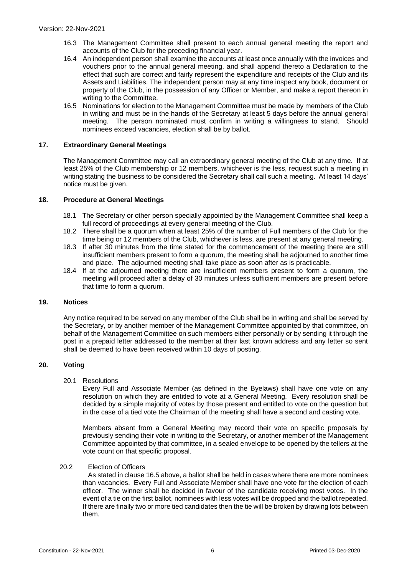- 16.3 The Management Committee shall present to each annual general meeting the report and accounts of the Club for the preceding financial year.
- 16.4 An independent person shall examine the accounts at least once annually with the invoices and vouchers prior to the annual general meeting, and shall append thereto a Declaration to the effect that such are correct and fairly represent the expenditure and receipts of the Club and its Assets and Liabilities. The independent person may at any time inspect any book, document or property of the Club, in the possession of any Officer or Member, and make a report thereon in writing to the Committee.
- 16.5 Nominations for election to the Management Committee must be made by members of the Club in writing and must be in the hands of the Secretary at least 5 days before the annual general meeting. The person nominated must confirm in writing a willingness to stand. Should nominees exceed vacancies, election shall be by ballot.

#### <span id="page-6-0"></span>**17. Extraordinary General Meetings**

The Management Committee may call an extraordinary general meeting of the Club at any time. If at least 25% of the Club membership or 12 members, whichever is the less, request such a meeting in writing stating the business to be considered the Secretary shall call such a meeting. At least 14 days' notice must be given.

#### <span id="page-6-1"></span>**18. Procedure at General Meetings**

- 18.1 The Secretary or other person specially appointed by the Management Committee shall keep a full record of proceedings at every general meeting of the Club.
- 18.2 There shall be a quorum when at least 25% of the number of Full members of the Club for the time being or 12 members of the Club, whichever is less, are present at any general meeting.
- 18.3 If after 30 minutes from the time stated for the commencement of the meeting there are still insufficient members present to form a quorum, the meeting shall be adjourned to another time and place. The adjourned meeting shall take place as soon after as is practicable.
- 18.4 If at the adjourned meeting there are insufficient members present to form a quorum, the meeting will proceed after a delay of 30 minutes unless sufficient members are present before that time to form a quorum.

# <span id="page-6-2"></span>**19. Notices**

Any notice required to be served on any member of the Club shall be in writing and shall be served by the Secretary, or by another member of the Management Committee appointed by that committee, on behalf of the Management Committee on such members either personally or by sending it through the post in a prepaid letter addressed to the member at their last known address and any letter so sent shall be deemed to have been received within 10 days of posting.

# <span id="page-6-3"></span>**20. Voting**

#### 20.1 Resolutions

Every Full and Associate Member (as defined in the Byelaws) shall have one vote on any resolution on which they are entitled to vote at a General Meeting. Every resolution shall be decided by a simple majority of votes by those present and entitled to vote on the question but in the case of a tied vote the Chairman of the meeting shall have a second and casting vote.

Members absent from a General Meeting may record their vote on specific proposals by previously sending their vote in writing to the Secretary, or another member of the Management Committee appointed by that committee, in a sealed envelope to be opened by the tellers at the vote count on that specific proposal.

# 20.2 Election of Officers

As stated in clause 16.5 above, a ballot shall be held in cases where there are more nominees than vacancies. Every Full and Associate Member shall have one vote for the election of each officer. The winner shall be decided in favour of the candidate receiving most votes. In the event of a tie on the first ballot, nominees with less votes will be dropped and the ballot repeated. If there are finally two or more tied candidates then the tie will be broken by drawing lots between them.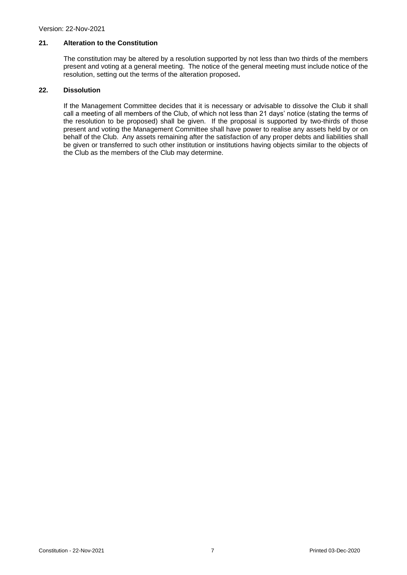# <span id="page-7-0"></span>**21. Alteration to the Constitution**

The constitution may be altered by a resolution supported by not less than two thirds of the members present and voting at a general meeting. The notice of the general meeting must include notice of the resolution, setting out the terms of the alteration proposed**.**

#### <span id="page-7-1"></span>**22. Dissolution**

If the Management Committee decides that it is necessary or advisable to dissolve the Club it shall call a meeting of all members of the Club, of which not less than 21 days' notice (stating the terms of the resolution to be proposed) shall be given. If the proposal is supported by two-thirds of those present and voting the Management Committee shall have power to realise any assets held by or on behalf of the Club. Any assets remaining after the satisfaction of any proper debts and liabilities shall be given or transferred to such other institution or institutions having objects similar to the objects of the Club as the members of the Club may determine.